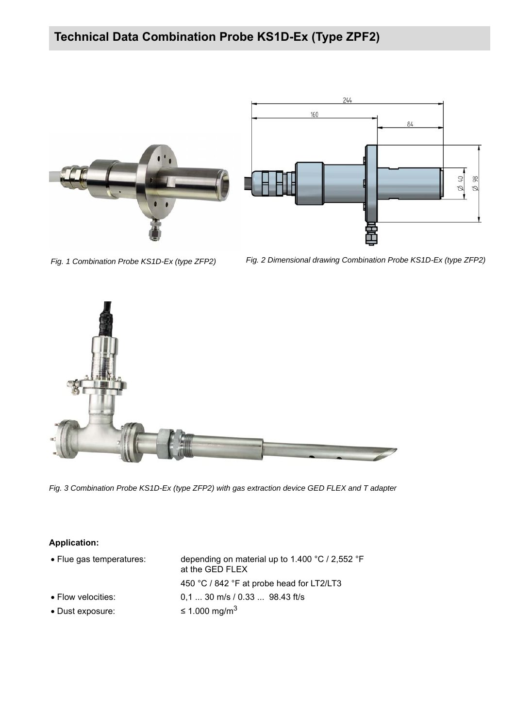



*Fig. 1 Combination Probe KS1D-Ex (type ZFP2) Fig. 2 Dimensional drawing Combination Probe KS1D-Ex (type ZFP2)*



*Fig. 3 Combination Probe KS1D-Ex (type ZFP2) with gas extraction device GED FLEX and T adapter*

### **Application:**

| • Flue gas temperatures:   | depending on material up to 1.400 $^{\circ}$ C / 2,552 $^{\circ}$ F<br>at the GED FLEX |  |
|----------------------------|----------------------------------------------------------------------------------------|--|
|                            | 450 °C / 842 °F at probe head for LT2/LT3                                              |  |
| $\bullet$ Flow velocities: | $0.1$ 30 m/s / 0.33  98.43 ft/s                                                        |  |
| • Dust exposure:           | $\leq$ 1.000 mg/m <sup>3</sup>                                                         |  |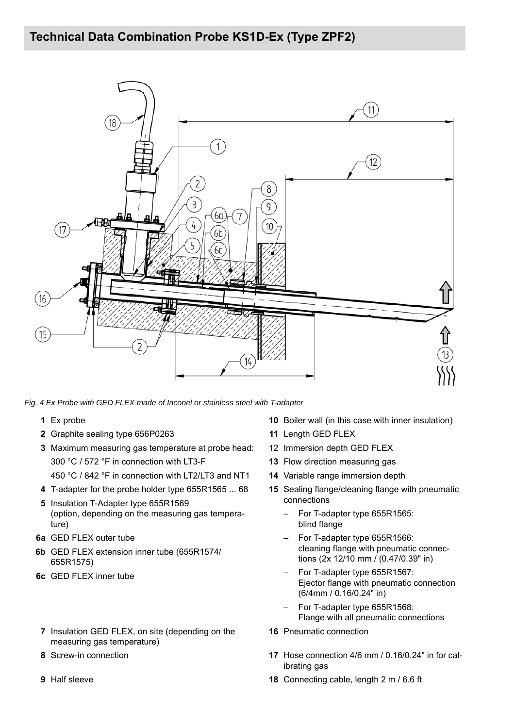

*Fig. 4 Ex Probe with GED FLEX made of Inconel or stainless steel with T-adapter*

- 
- **2** Graphite sealing type 656P0263 **11** Length GED FLEX
- **3** Maximum measuring gas temperature at probe head: 300 °C / 572 °F in connection with LT3-F 450 °C / 842 °F in connection with LT2/LT3 and NT1
- 
- 
- **5** Insulation T-Adapter type 655R1569 (option, depending on the measuring gas temperature)
- **6a** GED FLEX outer tube
- **6b** GED FLEX extension inner tube (655R1574/ 655R1575)
- **6c** GED FLEX inner tube
- **7** Insulation GED FLEX, on site (depending on the measuring gas temperature)
- 
- 
- **1** Ex probe **10** Boiler wall (in this case with inner insulation)
	-
	- 12 Immersion depth GED FLEX
	- **13** Flow direction measuring gas
	- **14** Variable range immersion depth
- **4** T-adapter for the probe holder type 655R1565 ... 68 **15** Sealing flange/cleaning flange with pneumatic connections
	- For T-adapter type 655R1565: blind flange
	- For T-adapter type 655R1566: cleaning flange with pneumatic connections (2x 12/10 mm / (0.47/0.39" in)
	- For T-adapter type 655R1567: Ejector flange with pneumatic connection (6/4mm / 0.16/0.24" in)
	- For T-adapter type 655R1568: Flange with all pneumatic connections
	- **16** Pneumatic connection
- **8** Screw-in connection **17** Hose connection 4/6 mm / 0.16/0.24" in for calibrating gas
- **9** Half sleeve **18** Connecting cable, length 2 m / 6.6 ft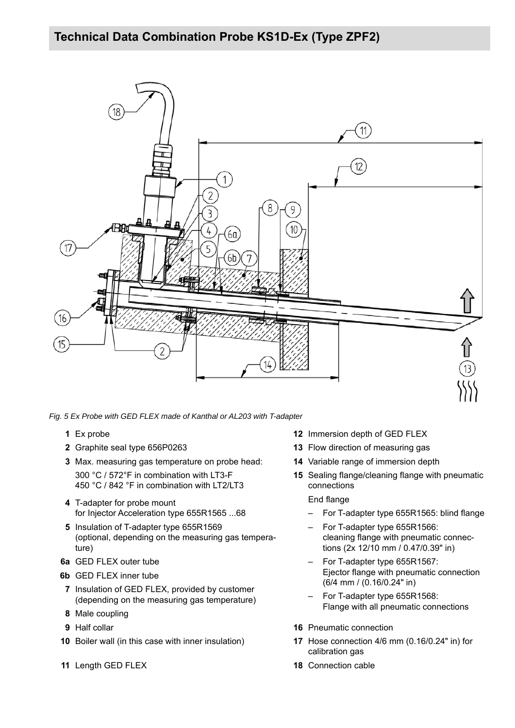

*Fig. 5 Ex Probe with GED FLEX made of Kanthal or AL203 with T-adapter*

- 
- 
- **3** Max. measuring gas temperature on probe head: 300 °C / 572°F in combination with LT3-F
	- 450 °C / 842 °F in combination with LT2/LT3
- **4** T-adapter for probe mount for Injector Acceleration type 655R1565 ...68
- **5** Insulation of T-adapter type 655R1569 (optional, depending on the measuring gas temperature)
- **6a** GED FLEX outer tube
- **6b** GED FLEX inner tube
- **7** Insulation of GED FLEX, provided by customer (depending on the measuring gas temperature)
- **8** Male coupling
- 
- **10** Boiler wall (in this case with inner insulation) **17** Hose connection 4/6 mm (0.16/0.24" in) for
- **11** Length GED FLEX **18** Connection cable
- **1** Ex probe **12** Immersion depth of GED FLEX
- **2** Graphite seal type 656P0263 **13** Flow direction of measuring gas
	- **14** Variable range of immersion depth
	- **15** Sealing flange/cleaning flange with pneumatic connections

#### End flange

- For T-adapter type 655R1565: blind flange
- For T-adapter type 655R1566: cleaning flange with pneumatic connections (2x 12/10 mm / 0.47/0.39" in)
- For T-adapter type 655R1567: Ejector flange with pneumatic connection (6/4 mm / (0.16/0.24" in)
- For T-adapter type 655R1568: Flange with all pneumatic connections
- **9** Half collar **16** Pneumatic connection
	- calibration gas
	-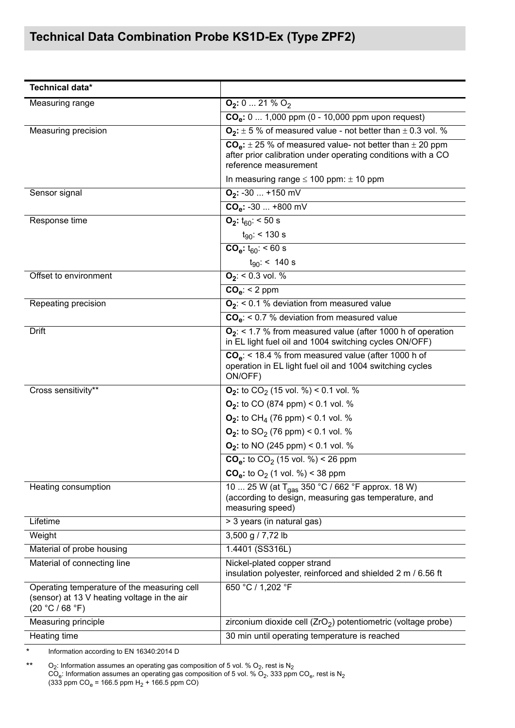| Technical data*                                                                                               |                                                                                                                                                          |
|---------------------------------------------------------------------------------------------------------------|----------------------------------------------------------------------------------------------------------------------------------------------------------|
| <b>Measuring range</b>                                                                                        | $Q_2: 0  21 \% Q_2$                                                                                                                                      |
|                                                                                                               | $COe: 0  1,000$ ppm (0 - 10,000 ppm upon request)                                                                                                        |
| Measuring precision                                                                                           | $O_2$ : $\pm$ 5 % of measured value - not better than $\pm$ 0.3 vol. %                                                                                   |
|                                                                                                               | $COa: \pm 25$ % of measured value- not better than $\pm$ 20 ppm<br>after prior calibration under operating conditions with a CO<br>reference measurement |
|                                                                                                               | In measuring range $\leq 100$ ppm: $\pm 10$ ppm                                                                                                          |
| Sensor signal                                                                                                 | $O_2$ : -30  +150 mV                                                                                                                                     |
|                                                                                                               | $COa: -30  +800$ mV                                                                                                                                      |
| Response time                                                                                                 | $O_2$ : $t_{60}$ : < 50 s                                                                                                                                |
|                                                                                                               | $t_{90}$ : < 130 s                                                                                                                                       |
|                                                                                                               | $COe: t60: < 60 s$                                                                                                                                       |
|                                                                                                               | $t_{90}$ : < 140 s                                                                                                                                       |
| Offset to environment                                                                                         | $O_2$ : < 0.3 vol. %                                                                                                                                     |
|                                                                                                               | $COa: < 2$ ppm                                                                                                                                           |
| Repeating precision                                                                                           | $O_2$ : < 0.1 % deviation from measured value                                                                                                            |
|                                                                                                               | $COe$ : < 0.7 % deviation from measured value                                                                                                            |
| <b>Drift</b>                                                                                                  | $O_2$ : < 1.7 % from measured value (after 1000 h of operation<br>in EL light fuel oil and 1004 switching cycles ON/OFF)                                 |
|                                                                                                               | $COe$ : < 18.4 % from measured value (after 1000 h of<br>operation in EL light fuel oil and 1004 switching cycles<br>ON/OFF)                             |
| Cross sensitivity**                                                                                           | $Q_2$ : to $CO_2$ (15 vol. %) < 0.1 vol. %                                                                                                               |
|                                                                                                               | $O_2$ : to CO (874 ppm) < 0.1 vol. %                                                                                                                     |
|                                                                                                               | $O_2$ : to CH <sub>4</sub> (76 ppm) < 0.1 vol. %                                                                                                         |
|                                                                                                               | $O_2$ : to SO <sub>2</sub> (76 ppm) < 0.1 vol. %                                                                                                         |
|                                                                                                               | $O_2$ : to NO (245 ppm) < 0.1 vol. %                                                                                                                     |
|                                                                                                               | $COe$ : to $CO2$ (15 vol. %) < 26 ppm                                                                                                                    |
|                                                                                                               | $COe$ : to O <sub>2</sub> (1 vol. %) < 38 ppm                                                                                                            |
| Heating consumption                                                                                           | 10  25 W (at T <sub>gas</sub> 350 °C / 662 °F approx. 18 W)<br>(according to design, measuring gas temperature, and<br>measuring speed)                  |
| Lifetime                                                                                                      | > 3 years (in natural gas)                                                                                                                               |
| Weight                                                                                                        | 3,500 g / 7,72 lb                                                                                                                                        |
| Material of probe housing                                                                                     | 1.4401 (SS316L)                                                                                                                                          |
| Material of connecting line                                                                                   | Nickel-plated copper strand<br>insulation polyester, reinforced and shielded 2 m / 6.56 ft                                                               |
| Operating temperature of the measuring cell<br>(sensor) at 13 V heating voltage in the air<br>(20 °C / 68 °F) | 650 °C / 1,202 °F                                                                                                                                        |
| Measuring principle                                                                                           | zirconium dioxide cell $(ZrO2)$ potentiometric (voltage probe)                                                                                           |
| Heating time                                                                                                  | 30 min until operating temperature is reached                                                                                                            |

\* Information according to EN 16340:2014 D

\*\*  $O_2$ : Information assumes an operating gas composition of 5 vol. %  $O_2$ , rest is  $N_2$  $\text{CO}_\text{e}$ : Information assumes an operating gas composition of 5 vol. %  $\text{O}_2$ , 333 ppm  $\text{CO}_\text{e}$ , rest is  $\text{N}_2$  $(333$  ppm CO<sub>e</sub> = 166.5 ppm H<sub>2</sub> + 166.5 ppm CO)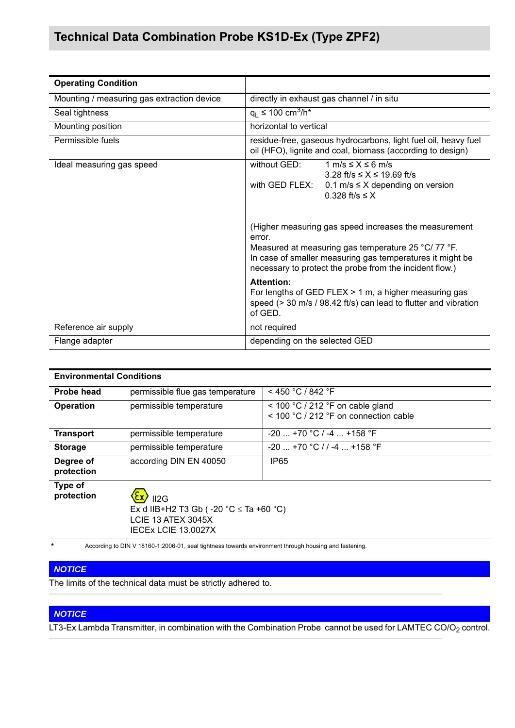| <b>Operating Condition</b>                 |                                                                                                                                                                                                                                                                                                                                                                                                                                         |  |
|--------------------------------------------|-----------------------------------------------------------------------------------------------------------------------------------------------------------------------------------------------------------------------------------------------------------------------------------------------------------------------------------------------------------------------------------------------------------------------------------------|--|
| Mounting / measuring gas extraction device | directly in exhaust gas channel / in situ                                                                                                                                                                                                                                                                                                                                                                                               |  |
| Seal tightness                             | $q_1 \le 100 \text{ cm}^3/\text{h}^*$                                                                                                                                                                                                                                                                                                                                                                                                   |  |
| Mounting position                          | horizontal to vertical                                                                                                                                                                                                                                                                                                                                                                                                                  |  |
| Permissible fuels                          | residue-free, gaseous hydrocarbons, light fuel oil, heavy fuel<br>oil (HFO), lignite and coal, biomass (according to design)                                                                                                                                                                                                                                                                                                            |  |
| Ideal measuring gas speed                  | without GED:<br>$1 \text{ m/s} \leq X \leq 6 \text{ m/s}$<br>$3.28$ ft/s $\leq X \leq 19.69$ ft/s<br>with GED FLEX:<br>0.1 m/s $\leq$ X depending on version<br>$0.328$ ft/s $\leq$ X<br>(Higher measuring gas speed increases the measurement<br>error.<br>Measured at measuring gas temperature 25 °C/ 77 °F.<br>In case of smaller measuring gas temperatures it might be<br>necessary to protect the probe from the incident flow.) |  |
|                                            | <b>Attention:</b><br>For lengths of GED FLEX $> 1$ m, a higher measuring gas<br>speed (> 30 m/s / 98.42 ft/s) can lead to flutter and vibration<br>of GED.                                                                                                                                                                                                                                                                              |  |
| Reference air supply                       | not required                                                                                                                                                                                                                                                                                                                                                                                                                            |  |
| Flange adapter                             | depending on the selected GED                                                                                                                                                                                                                                                                                                                                                                                                           |  |

### **Environmental Conditions**

| <b>Probe head</b>       | permissible flue gas temperature                                                                                                   | $<$ 450 °C / 842 °F                                                           |
|-------------------------|------------------------------------------------------------------------------------------------------------------------------------|-------------------------------------------------------------------------------|
| <b>Operation</b>        | permissible temperature                                                                                                            | $<$ 100 °C / 212 °F on cable gland<br>$<$ 100 °C / 212 °F on connection cable |
| <b>Transport</b>        | permissible temperature                                                                                                            | $-20$ +70 °C / -4  +158 °F                                                    |
| <b>Storage</b>          | permissible temperature                                                                                                            | $-20$ +70 °C / / -4  +158 °F                                                  |
| Degree of<br>protection | according DIN EN 40050                                                                                                             | IP <sub>65</sub>                                                              |
| Type of<br>protection   | $\overline{\phantom{a}}$ II2G<br>Ex d IIB+H2 T3 Gb ( $-20$ °C $\le$ Ta +60 °C)<br><b>LCIE 13 ATEX 3045X</b><br>IECEX LCIE 13.0027X |                                                                               |

\* According to DIN V 18160-1:2006-01, seal tightness towards environment through housing and fastening.

#### *NOTICE*

The limits of the technical data must be strictly adhered to.

### *NOTICE*

LT3-Ex Lambda Transmitter, in combination with the Combination Probe cannot be used for LAMTEC CO/O<sub>2</sub> control.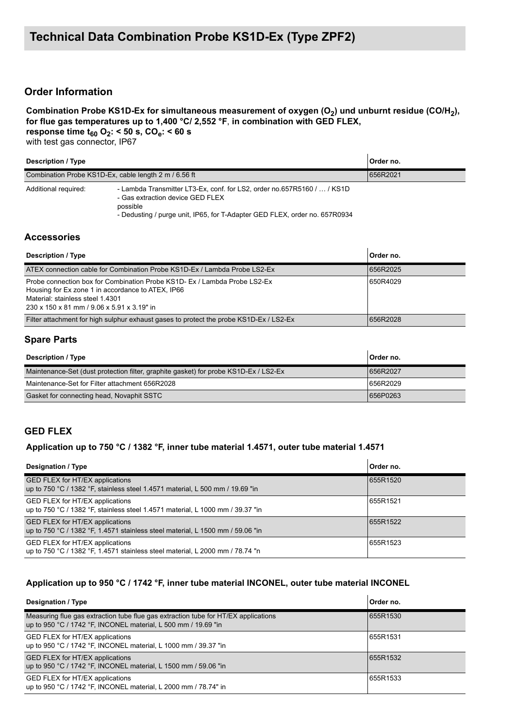## **Order Information**

#### Combination Probe KS1D-Ex for simultaneous measurement of oxygen (O<sub>2</sub>) und unburnt residue (CO/H<sub>2</sub>), **for flue gas temperatures up to 1,400 °C/ 2,552 °F**, **in combination with GED FLEX, response time**  $t_{60}$  **O<sub>2</sub>: < 50 s, CO<sub>e</sub>: < 60 s**

with test gas connector, IP67

| <b>Description / Type</b>                             |                                                                                                                                                                                                       | Order no. |
|-------------------------------------------------------|-------------------------------------------------------------------------------------------------------------------------------------------------------------------------------------------------------|-----------|
| Combination Probe KS1D-Ex, cable length 2 m / 6.56 ft |                                                                                                                                                                                                       | 656R2021  |
| Additional required:                                  | - Lambda Transmitter LT3-Ex, conf. for LS2, order no.657R5160 /  / KS1D<br>- Gas extraction device GED FLEX<br>possible<br>- Dedusting / purge unit, IP65, for T-Adapter GED FLEX, order no. 657R0934 |           |

#### **Accessories**

| <b>Description / Type</b>                                                                                                                                                                                        | Order no. |
|------------------------------------------------------------------------------------------------------------------------------------------------------------------------------------------------------------------|-----------|
| ATEX connection cable for Combination Probe KS1D-Ex / Lambda Probe LS2-Ex                                                                                                                                        | 656R2025  |
| Probe connection box for Combination Probe KS1D- Ex / Lambda Probe LS2-Ex<br>Housing for Ex zone 1 in accordance to ATEX, IP66<br>Material: stainless steel 1.4301<br>230 x 150 x 81 mm / 9.06 x 5.91 x 3.19" in | 650R4029  |
| Filter attachment for high sulphur exhaust gases to protect the probe KS1D-Ex / LS2-Ex                                                                                                                           | 656R2028  |

### **Spare Parts**

| <b>Description / Type</b>                                                            | Order no. |
|--------------------------------------------------------------------------------------|-----------|
| Maintenance-Set (dust protection filter, graphite gasket) for probe KS1D-Ex / LS2-Ex | 656R2027  |
| Maintenance-Set for Filter attachment 656R2028                                       | 656R2029  |
| Gasket for connecting head, Novaphit SSTC                                            | 656P0263  |

### **GED FLEX**

#### **Application up to 750 °C / 1382 °F, inner tube material 1.4571, outer tube material 1.4571**

| Designation / Type                                                                                                       | Order no. |
|--------------------------------------------------------------------------------------------------------------------------|-----------|
| GED FLEX for HT/EX applications<br>up to 750 °C / 1382 °F, stainless steel 1.4571 material, L 500 mm / 19.69 "in         | 655R1520  |
| GED FLEX for HT/EX applications<br>up to 750 °C / 1382 °F, stainless steel 1.4571 material, L 1000 mm / 39.37 "in        | 655R1521  |
| <b>GED FLEX for HT/EX applications</b><br>up to 750 °C / 1382 °F, 1.4571 stainless steel material, L 1500 mm / 59.06 "in | 655R1522  |
| GED FLEX for HT/EX applications<br>up to 750 °C / 1382 °F, 1.4571 stainless steel material, L 2000 mm / 78.74 "n         | 655R1523  |

#### **Application up to 950 °C / 1742 °F, inner tube material INCONEL, outer tube material INCONEL**

| Designation / Type                                                                                                                                   | Order no. |
|------------------------------------------------------------------------------------------------------------------------------------------------------|-----------|
| Measuring flue gas extraction tube flue gas extraction tube for HT/EX applications<br>up to 950 °C / 1742 °F, INCONEL material, L 500 mm / 19.69 "in | 655R1530  |
| GED FLEX for HT/EX applications<br>up to 950 °C / 1742 °F, INCONEL material, L 1000 mm / 39.37 "in                                                   | 655R1531  |
| GED FLEX for HT/EX applications<br>up to 950 °C / 1742 °F, INCONEL material, L 1500 mm / 59.06 "in                                                   | 655R1532  |
| GED FLEX for HT/EX applications<br>up to 950 °C / 1742 °F, INCONEL material, L 2000 mm / 78.74" in                                                   | 655R1533  |